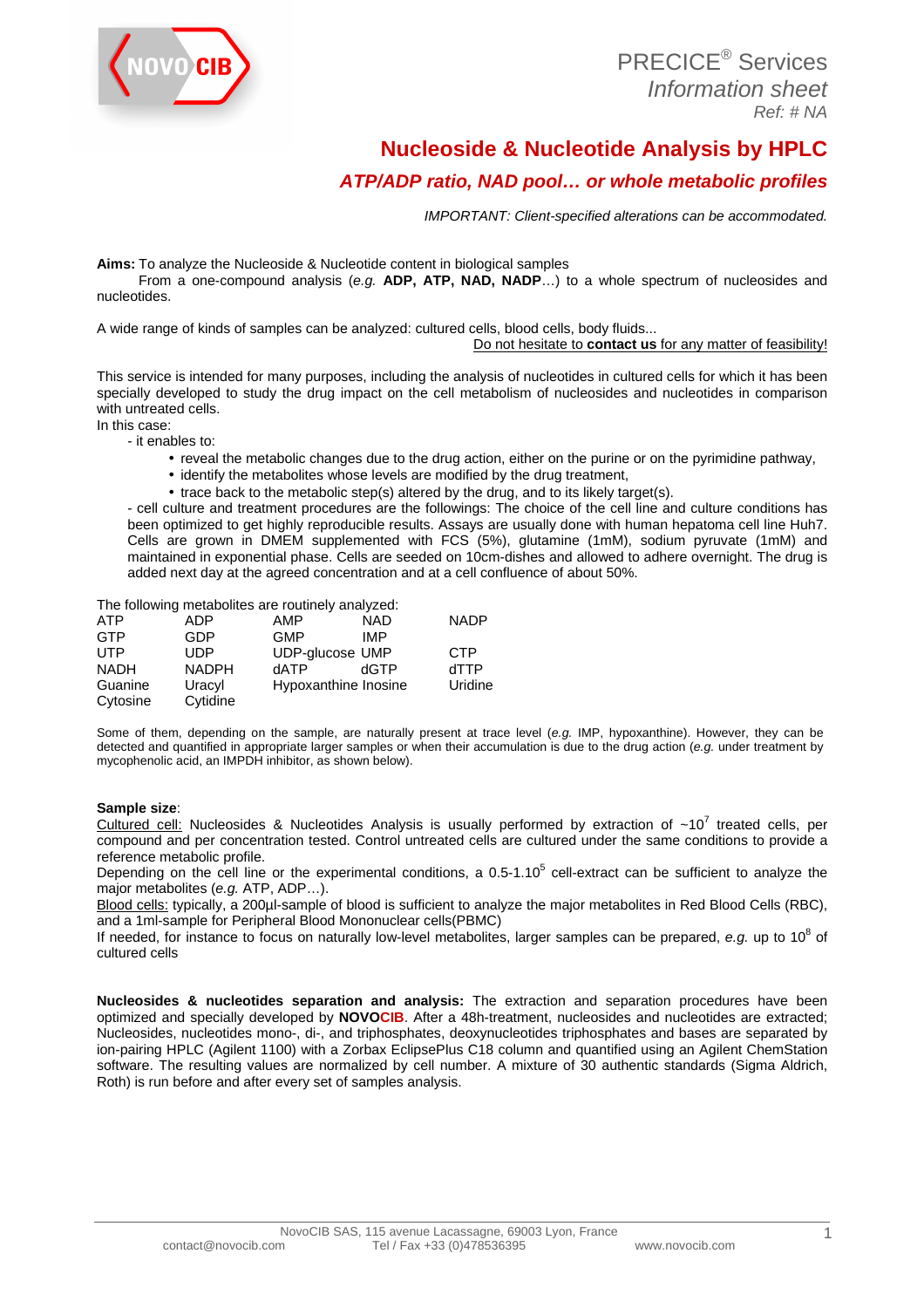

# **Nucleoside & Nucleotide Analysis by HPLC**

## **ATP/ADP ratio, NAD pool… or whole metabolic profiles**

IMPORTANT: Client-specified alterations can be accommodated.

**Aims:** To analyze the Nucleoside & Nucleotide content in biological samples

 From a one-compound analysis (e.g. **ADP, ATP, NAD, NADP**…) to a whole spectrum of nucleosides and nucleotides.

A wide range of kinds of samples can be analyzed: cultured cells, blood cells, body fluids...

Do not hesitate to **contact us** for any matter of feasibility!

This service is intended for many purposes, including the analysis of nucleotides in cultured cells for which it has been specially developed to study the drug impact on the cell metabolism of nucleosides and nucleotides in comparison with untreated cells. In this case:

- it enables to:

- reveal the metabolic changes due to the drug action, either on the purine or on the pyrimidine pathway,
- identify the metabolites whose levels are modified by the drug treatment,
- trace back to the metabolic step(s) altered by the drug, and to its likely target(s).

- cell culture and treatment procedures are the followings: The choice of the cell line and culture conditions has been optimized to get highly reproducible results. Assays are usually done with human hepatoma cell line Huh7. Cells are grown in DMEM supplemented with FCS (5%), glutamine (1mM), sodium pyruvate (1mM) and maintained in exponential phase. Cells are seeded on 10cm-dishes and allowed to adhere overnight. The drug is added next day at the agreed concentration and at a cell confluence of about 50%.

The following metabolites are routinely analyzed:

| <b>ATP</b>  | <b>ADP</b>   | AMP                    | <b>NAD</b> | <b>NADP</b> |
|-------------|--------------|------------------------|------------|-------------|
| <b>GTP</b>  | GDP          | <b>GMP</b>             | <b>IMP</b> |             |
| <b>UTP</b>  | <b>UDP</b>   | <b>UDP-glucose UMP</b> |            | <b>CTP</b>  |
| <b>NADH</b> | <b>NADPH</b> | dATP                   | dGTP       | dTTP        |
| Guanine     | Uracyl       | Hypoxanthine Inosine   |            | Uridine     |
| Cytosine    | Cytidine     |                        |            |             |

Some of them, depending on the sample, are naturally present at trace level (e.g. IMP, hypoxanthine). However, they can be detected and quantified in appropriate larger samples or when their accumulation is due to the drug action (e.g. under treatment by mycophenolic acid, an IMPDH inhibitor, as shown below).

#### **Sample size**:

Cultured cell: Nucleosides & Nucleotides Analysis is usually performed by extraction of  $~10^7$  treated cells, per compound and per concentration tested. Control untreated cells are cultured under the same conditions to provide a reference metabolic profile.

Depending on the cell line or the experimental conditions, a  $0.5$ -1.10 $^5$  cell-extract can be sufficient to analyze the major metabolites (e.g. ATP, ADP…).

Blood cells: typically, a 200µl-sample of blood is sufficient to analyze the major metabolites in Red Blood Cells (RBC), and a 1ml-sample for Peripheral Blood Mononuclear cells(PBMC)

If needed, for instance to focus on naturally low-level metabolites, larger samples can be prepared, e.g. up to 10 $^8$  of cultured cells

**Nucleosides & nucleotides separation and analysis:** The extraction and separation procedures have been optimized and specially developed by **NOVOCIB**. After a 48h-treatment, nucleosides and nucleotides are extracted; Nucleosides, nucleotides mono-, di-, and triphosphates, deoxynucleotides triphosphates and bases are separated by ion-pairing HPLC (Agilent 1100) with a Zorbax EclipsePlus C18 column and quantified using an Agilent ChemStation software. The resulting values are normalized by cell number. A mixture of 30 authentic standards (Sigma Aldrich, Roth) is run before and after every set of samples analysis.